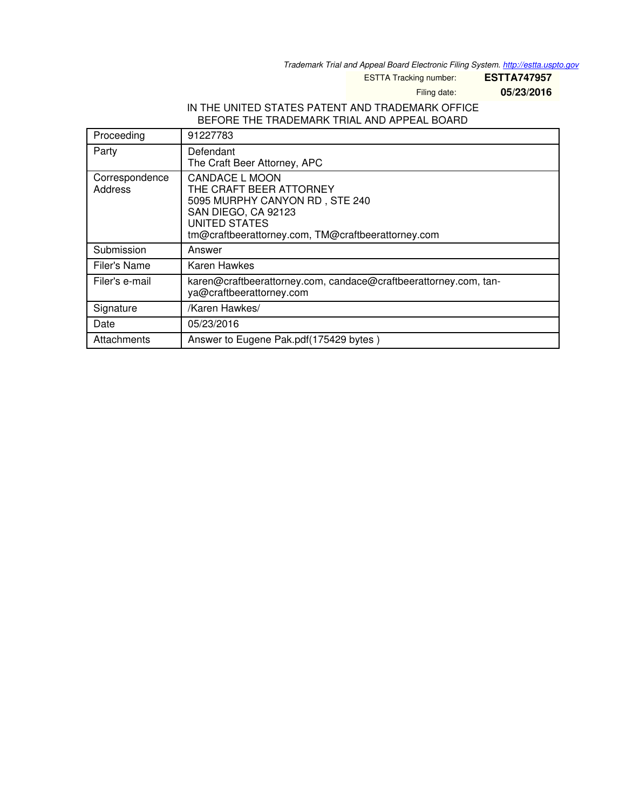*Trademark Trial and Appeal Board Electronic Filing System. <http://estta.uspto.gov>*

ESTTA Tracking number: **ESTTA747957**

Filing date: **05/23/2016**

### IN THE UNITED STATES PATENT AND TRADEMARK OFFICE BEFORE THE TRADEMARK TRIAL AND APPEAL BOARD

| Proceeding                | 91227783                                                                                                                                                                         |
|---------------------------|----------------------------------------------------------------------------------------------------------------------------------------------------------------------------------|
| Party                     | Defendant<br>The Craft Beer Attorney, APC                                                                                                                                        |
| Correspondence<br>Address | CANDACE L MOON<br>THE CRAFT BEER ATTORNEY<br>5095 MURPHY CANYON RD, STE 240<br>SAN DIEGO, CA 92123<br><b>UNITED STATES</b><br>tm@craftbeerattorney.com, TM@craftbeerattorney.com |
| Submission                | Answer                                                                                                                                                                           |
| Filer's Name              | Karen Hawkes                                                                                                                                                                     |
| Filer's e-mail            | karen@craftbeerattorney.com, candace@craftbeerattorney.com, tan-<br>ya@craftbeerattorney.com                                                                                     |
| Signature                 | /Karen Hawkes/                                                                                                                                                                   |
| Date                      | 05/23/2016                                                                                                                                                                       |
| Attachments               | Answer to Eugene Pak.pdf(175429 bytes)                                                                                                                                           |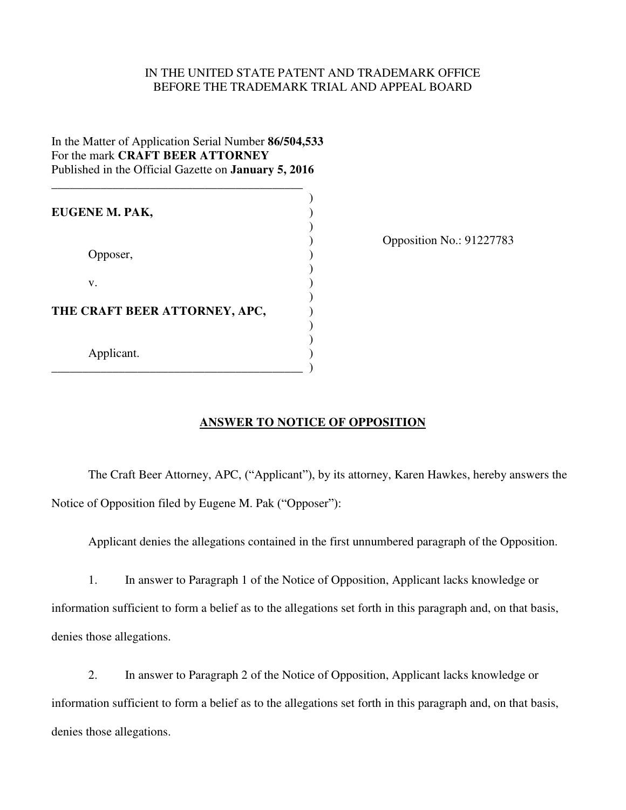#### IN THE UNITED STATE PATENT AND TRADEMARK OFFICE BEFORE THE TRADEMARK TRIAL AND APPEAL BOARD

# In the Matter of Application Serial Number **86/504,533** For the mark **CRAFT BEER ATTORNEY** Published in the Official Gazette on **January 5, 2016**

\_\_\_\_\_\_\_\_\_\_\_\_\_\_\_\_\_\_\_\_\_\_\_\_\_\_\_\_\_\_\_\_\_\_\_\_\_\_\_\_\_

 $)$ **EUGENE M. PAK,** )  $)$ Opposer,  $)$  $)$  $\mathbf{v}$ .  $)$ **THE CRAFT BEER ATTORNEY, APC,** ) )  $)$  Applicant. ) \_\_\_\_\_\_\_\_\_\_\_\_\_\_\_\_\_\_\_\_\_\_\_\_\_\_\_\_\_\_\_\_\_\_\_\_\_\_\_\_\_ )

) Opposition No.: 91227783

## **ANSWER TO NOTICE OF OPPOSITION**

The Craft Beer Attorney, APC, ("Applicant"), by its attorney, Karen Hawkes, hereby answers the Notice of Opposition filed by Eugene M. Pak ("Opposer"):

Applicant denies the allegations contained in the first unnumbered paragraph of the Opposition.

 1. In answer to Paragraph 1 of the Notice of Opposition, Applicant lacks knowledge or information sufficient to form a belief as to the allegations set forth in this paragraph and, on that basis, denies those allegations.

 2. In answer to Paragraph 2 of the Notice of Opposition, Applicant lacks knowledge or information sufficient to form a belief as to the allegations set forth in this paragraph and, on that basis, denies those allegations.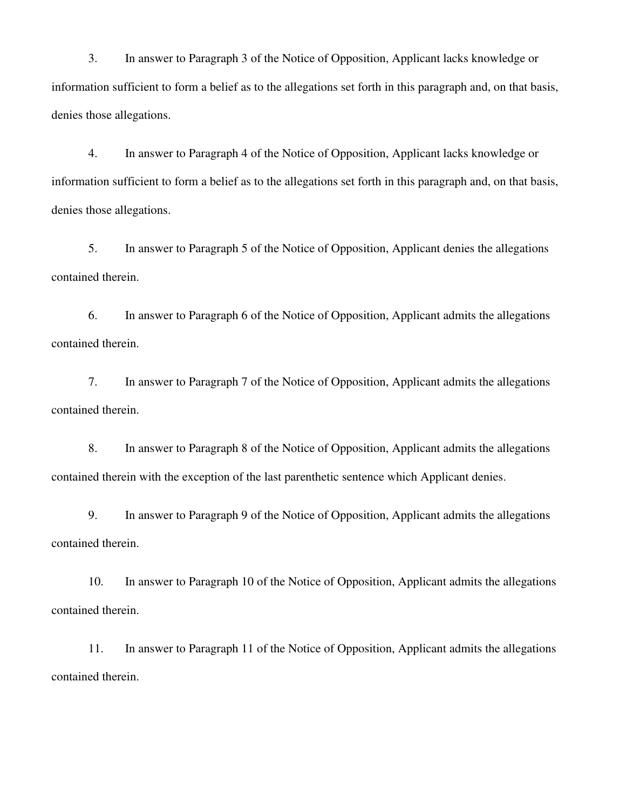3. In answer to Paragraph 3 of the Notice of Opposition, Applicant lacks knowledge or information sufficient to form a belief as to the allegations set forth in this paragraph and, on that basis, denies those allegations.

 4. In answer to Paragraph 4 of the Notice of Opposition, Applicant lacks knowledge or information sufficient to form a belief as to the allegations set forth in this paragraph and, on that basis, denies those allegations.

 5. In answer to Paragraph 5 of the Notice of Opposition, Applicant denies the allegations contained therein.

 6. In answer to Paragraph 6 of the Notice of Opposition, Applicant admits the allegations contained therein.

 7. In answer to Paragraph 7 of the Notice of Opposition, Applicant admits the allegations contained therein.

 8. In answer to Paragraph 8 of the Notice of Opposition, Applicant admits the allegations contained therein with the exception of the last parenthetic sentence which Applicant denies.

 9. In answer to Paragraph 9 of the Notice of Opposition, Applicant admits the allegations contained therein.

10. In answer to Paragraph 10 of the Notice of Opposition, Applicant admits the allegations contained therein.

11. In answer to Paragraph 11 of the Notice of Opposition, Applicant admits the allegations contained therein.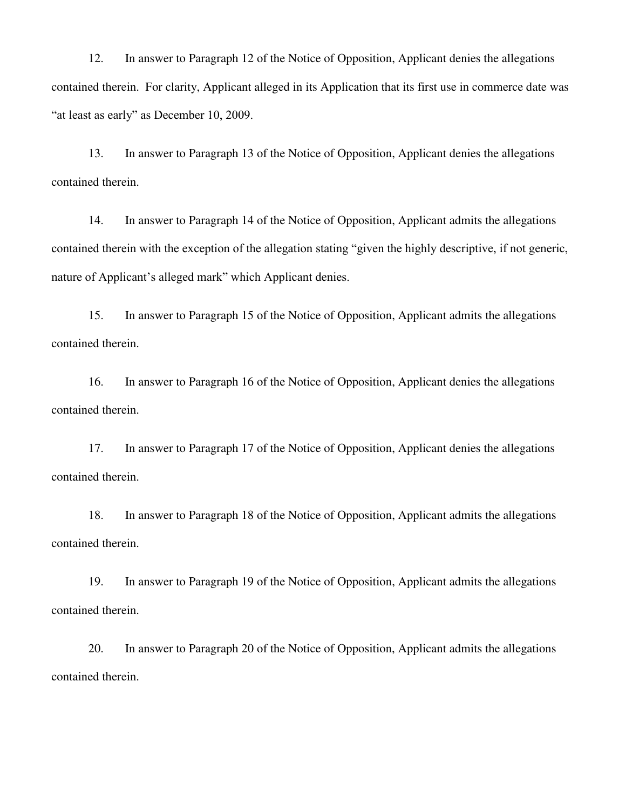12. In answer to Paragraph 12 of the Notice of Opposition, Applicant denies the allegations contained therein. For clarity, Applicant alleged in its Application that its first use in commerce date was "at least as early" as December 10, 2009.

13. In answer to Paragraph 13 of the Notice of Opposition, Applicant denies the allegations contained therein.

14. In answer to Paragraph 14 of the Notice of Opposition, Applicant admits the allegations contained therein with the exception of the allegation stating "given the highly descriptive, if not generic, nature of Applicant's alleged mark" which Applicant denies.

15. In answer to Paragraph 15 of the Notice of Opposition, Applicant admits the allegations contained therein.

16. In answer to Paragraph 16 of the Notice of Opposition, Applicant denies the allegations contained therein.

17. In answer to Paragraph 17 of the Notice of Opposition, Applicant denies the allegations contained therein.

18. In answer to Paragraph 18 of the Notice of Opposition, Applicant admits the allegations contained therein.

19. In answer to Paragraph 19 of the Notice of Opposition, Applicant admits the allegations contained therein.

20. In answer to Paragraph 20 of the Notice of Opposition, Applicant admits the allegations contained therein.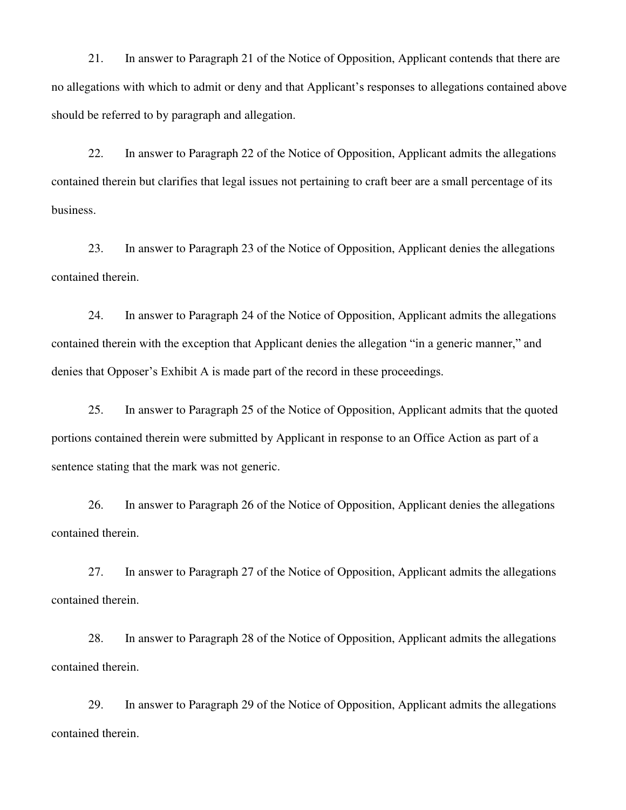21. In answer to Paragraph 21 of the Notice of Opposition, Applicant contends that there are no allegations with which to admit or deny and that Applicant's responses to allegations contained above should be referred to by paragraph and allegation.

22. In answer to Paragraph 22 of the Notice of Opposition, Applicant admits the allegations contained therein but clarifies that legal issues not pertaining to craft beer are a small percentage of its business.

23. In answer to Paragraph 23 of the Notice of Opposition, Applicant denies the allegations contained therein.

24. In answer to Paragraph 24 of the Notice of Opposition, Applicant admits the allegations contained therein with the exception that Applicant denies the allegation "in a generic manner," and denies that Opposer's Exhibit A is made part of the record in these proceedings.

25. In answer to Paragraph 25 of the Notice of Opposition, Applicant admits that the quoted portions contained therein were submitted by Applicant in response to an Office Action as part of a sentence stating that the mark was not generic.

26. In answer to Paragraph 26 of the Notice of Opposition, Applicant denies the allegations contained therein.

27. In answer to Paragraph 27 of the Notice of Opposition, Applicant admits the allegations contained therein.

28. In answer to Paragraph 28 of the Notice of Opposition, Applicant admits the allegations contained therein.

29. In answer to Paragraph 29 of the Notice of Opposition, Applicant admits the allegations contained therein.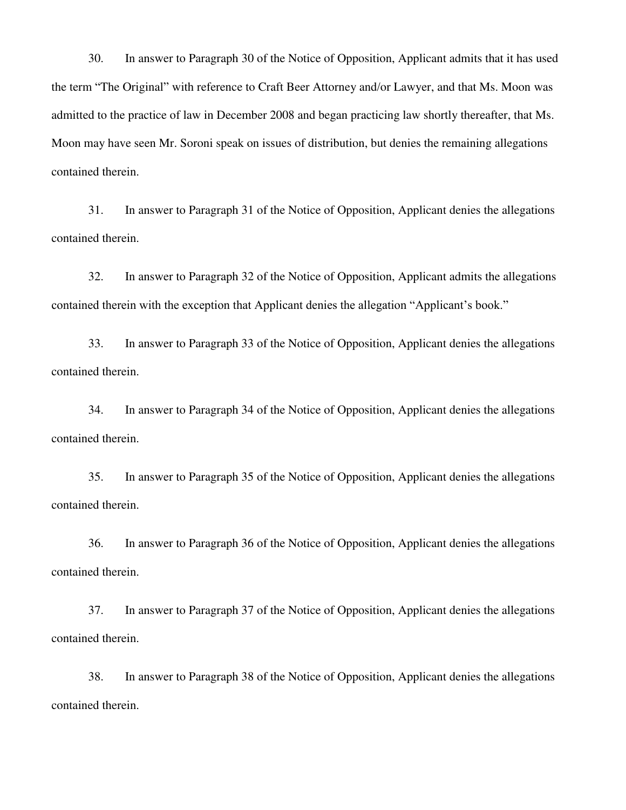30. In answer to Paragraph 30 of the Notice of Opposition, Applicant admits that it has used the term "The Original" with reference to Craft Beer Attorney and/or Lawyer, and that Ms. Moon was admitted to the practice of law in December 2008 and began practicing law shortly thereafter, that Ms. Moon may have seen Mr. Soroni speak on issues of distribution, but denies the remaining allegations contained therein.

31. In answer to Paragraph 31 of the Notice of Opposition, Applicant denies the allegations contained therein.

32. In answer to Paragraph 32 of the Notice of Opposition, Applicant admits the allegations contained therein with the exception that Applicant denies the allegation "Applicant's book."

33. In answer to Paragraph 33 of the Notice of Opposition, Applicant denies the allegations contained therein.

34. In answer to Paragraph 34 of the Notice of Opposition, Applicant denies the allegations contained therein.

35. In answer to Paragraph 35 of the Notice of Opposition, Applicant denies the allegations contained therein.

36. In answer to Paragraph 36 of the Notice of Opposition, Applicant denies the allegations contained therein.

37. In answer to Paragraph 37 of the Notice of Opposition, Applicant denies the allegations contained therein.

38. In answer to Paragraph 38 of the Notice of Opposition, Applicant denies the allegations contained therein.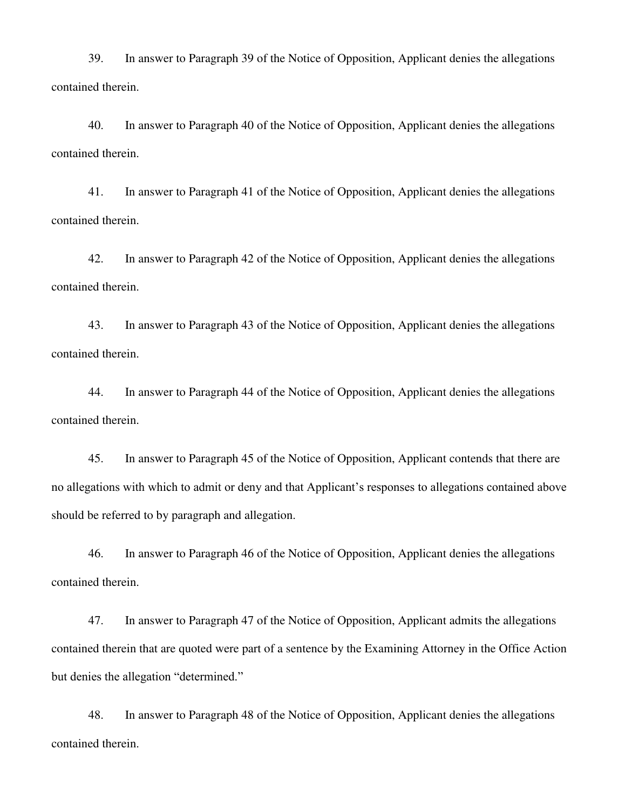39. In answer to Paragraph 39 of the Notice of Opposition, Applicant denies the allegations contained therein.

40. In answer to Paragraph 40 of the Notice of Opposition, Applicant denies the allegations contained therein.

41. In answer to Paragraph 41 of the Notice of Opposition, Applicant denies the allegations contained therein.

42. In answer to Paragraph 42 of the Notice of Opposition, Applicant denies the allegations contained therein.

43. In answer to Paragraph 43 of the Notice of Opposition, Applicant denies the allegations contained therein.

44. In answer to Paragraph 44 of the Notice of Opposition, Applicant denies the allegations contained therein.

45. In answer to Paragraph 45 of the Notice of Opposition, Applicant contends that there are no allegations with which to admit or deny and that Applicant's responses to allegations contained above should be referred to by paragraph and allegation.

46. In answer to Paragraph 46 of the Notice of Opposition, Applicant denies the allegations contained therein.

47. In answer to Paragraph 47 of the Notice of Opposition, Applicant admits the allegations contained therein that are quoted were part of a sentence by the Examining Attorney in the Office Action but denies the allegation "determined."

48. In answer to Paragraph 48 of the Notice of Opposition, Applicant denies the allegations contained therein.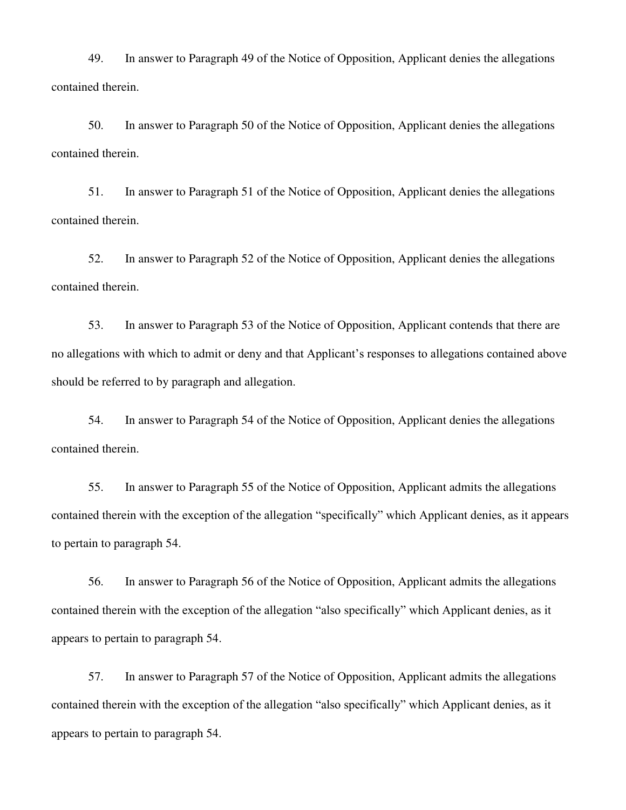49. In answer to Paragraph 49 of the Notice of Opposition, Applicant denies the allegations contained therein.

50. In answer to Paragraph 50 of the Notice of Opposition, Applicant denies the allegations contained therein.

51. In answer to Paragraph 51 of the Notice of Opposition, Applicant denies the allegations contained therein.

52. In answer to Paragraph 52 of the Notice of Opposition, Applicant denies the allegations contained therein.

53. In answer to Paragraph 53 of the Notice of Opposition, Applicant contends that there are no allegations with which to admit or deny and that Applicant's responses to allegations contained above should be referred to by paragraph and allegation.

54. In answer to Paragraph 54 of the Notice of Opposition, Applicant denies the allegations contained therein.

55. In answer to Paragraph 55 of the Notice of Opposition, Applicant admits the allegations contained therein with the exception of the allegation "specifically" which Applicant denies, as it appears to pertain to paragraph 54.

56. In answer to Paragraph 56 of the Notice of Opposition, Applicant admits the allegations contained therein with the exception of the allegation "also specifically" which Applicant denies, as it appears to pertain to paragraph 54.

57. In answer to Paragraph 57 of the Notice of Opposition, Applicant admits the allegations contained therein with the exception of the allegation "also specifically" which Applicant denies, as it appears to pertain to paragraph 54.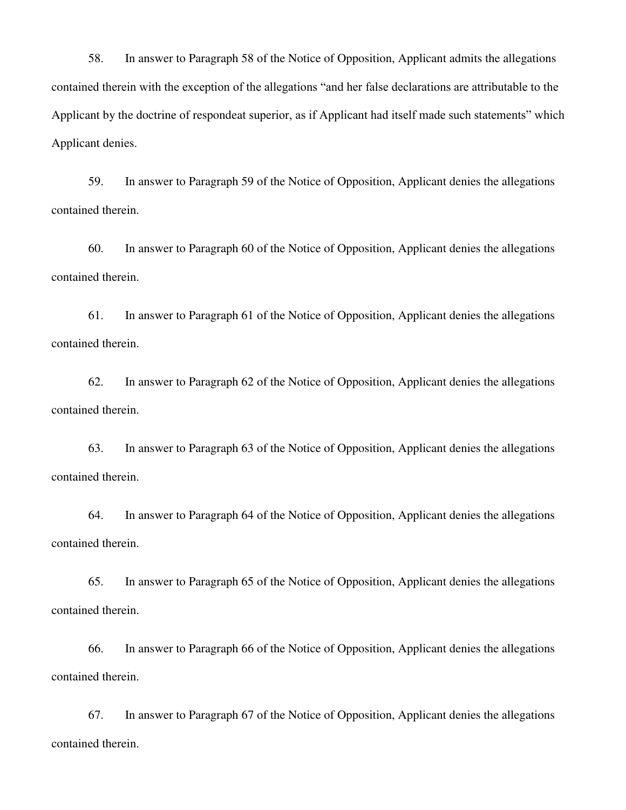58. In answer to Paragraph 58 of the Notice of Opposition, Applicant admits the allegations contained therein with the exception of the allegations "and her false declarations are attributable to the Applicant by the doctrine of respondeat superior, as if Applicant had itself made such statements" which Applicant denies.

59. In answer to Paragraph 59 of the Notice of Opposition, Applicant denies the allegations contained therein.

60. In answer to Paragraph 60 of the Notice of Opposition, Applicant denies the allegations contained therein.

61. In answer to Paragraph 61 of the Notice of Opposition, Applicant denies the allegations contained therein.

62. In answer to Paragraph 62 of the Notice of Opposition, Applicant denies the allegations contained therein.

63. In answer to Paragraph 63 of the Notice of Opposition, Applicant denies the allegations contained therein.

64. In answer to Paragraph 64 of the Notice of Opposition, Applicant denies the allegations contained therein.

65. In answer to Paragraph 65 of the Notice of Opposition, Applicant denies the allegations contained therein.

66. In answer to Paragraph 66 of the Notice of Opposition, Applicant denies the allegations contained therein.

67. In answer to Paragraph 67 of the Notice of Opposition, Applicant denies the allegations contained therein.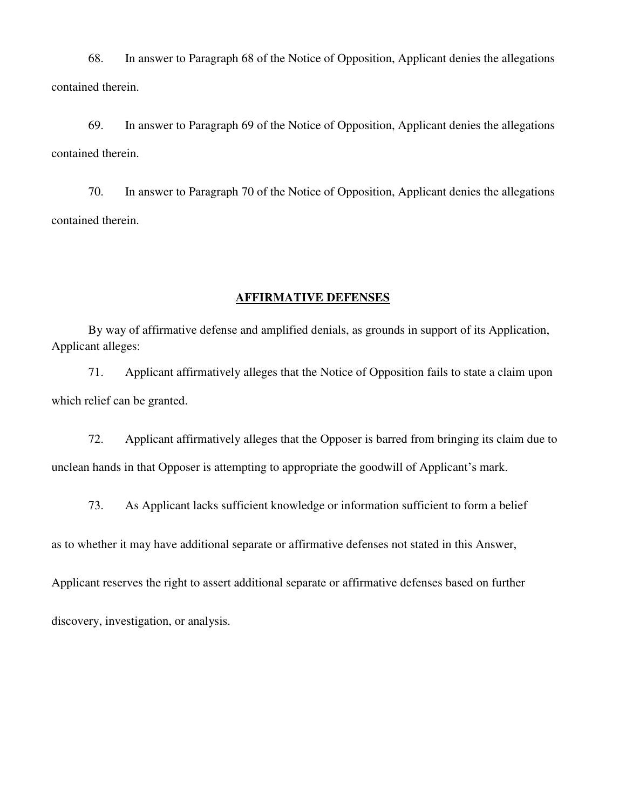68. In answer to Paragraph 68 of the Notice of Opposition, Applicant denies the allegations contained therein.

69. In answer to Paragraph 69 of the Notice of Opposition, Applicant denies the allegations contained therein.

70. In answer to Paragraph 70 of the Notice of Opposition, Applicant denies the allegations contained therein.

#### **AFFIRMATIVE DEFENSES**

By way of affirmative defense and amplified denials, as grounds in support of its Application, Applicant alleges:

 71. Applicant affirmatively alleges that the Notice of Opposition fails to state a claim upon which relief can be granted.

 72. Applicant affirmatively alleges that the Opposer is barred from bringing its claim due to unclean hands in that Opposer is attempting to appropriate the goodwill of Applicant's mark.

73. As Applicant lacks sufficient knowledge or information sufficient to form a belief

as to whether it may have additional separate or affirmative defenses not stated in this Answer,

Applicant reserves the right to assert additional separate or affirmative defenses based on further

discovery, investigation, or analysis.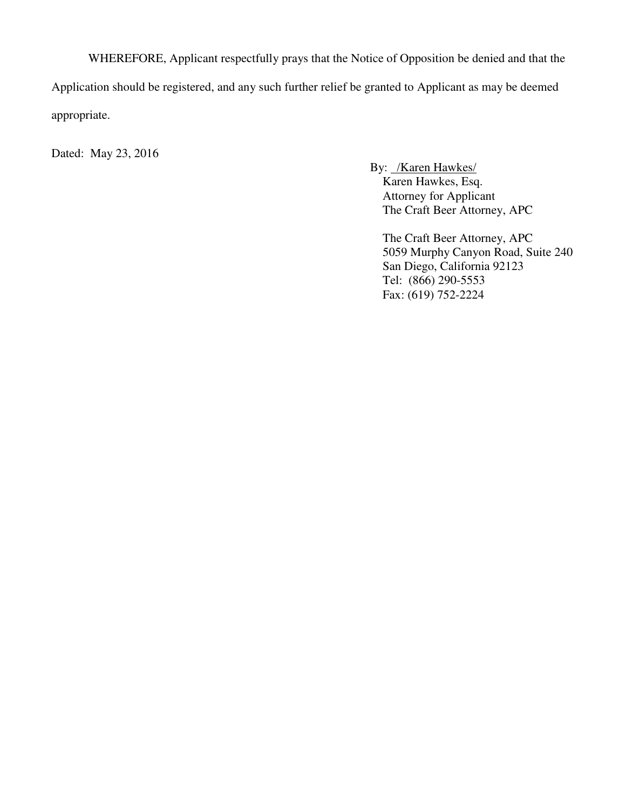WHEREFORE, Applicant respectfully prays that the Notice of Opposition be denied and that the Application should be registered, and any such further relief be granted to Applicant as may be deemed appropriate.

Dated: May 23, 2016

By: /Karen Hawkes/ Karen Hawkes, Esq. Attorney for Applicant The Craft Beer Attorney, APC

The Craft Beer Attorney, APC 5059 Murphy Canyon Road, Suite 240 San Diego, California 92123 Tel: (866) 290-5553 Fax: (619) 752-2224